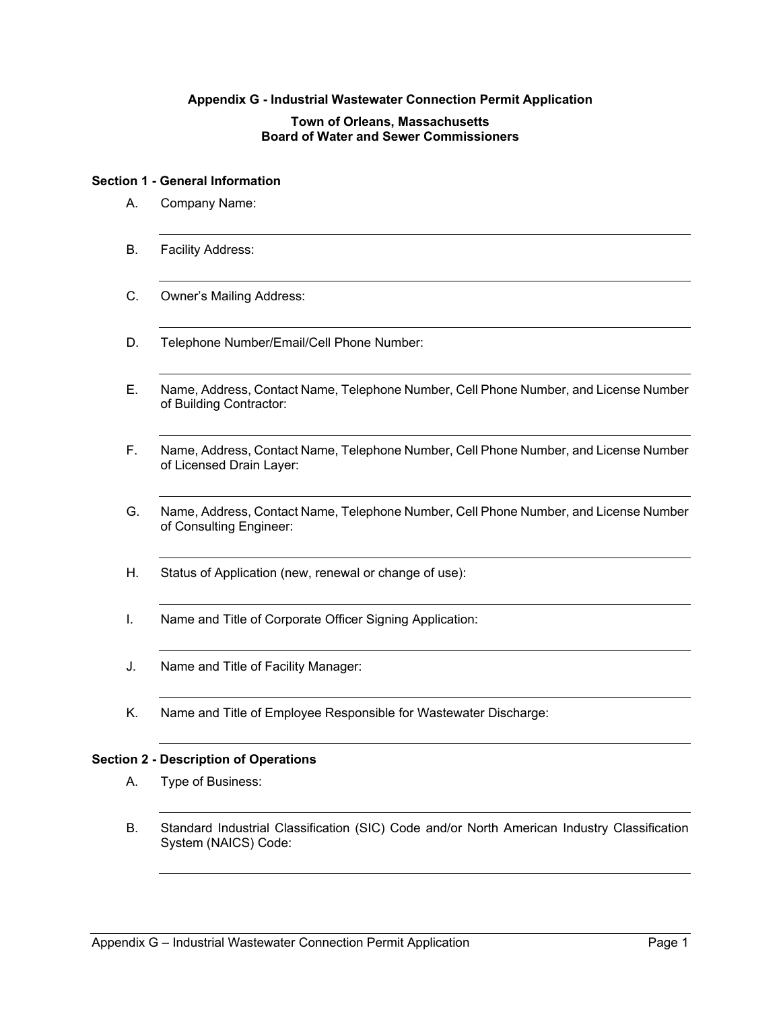# **Appendix G - Industrial Wastewater Connection Permit Application**

# **Town of Orleans, Massachusetts Board of Water and Sewer Commissioners**

#### **Section 1 - General Information**

- A. Company Name:
- B. Facility Address:
- C. Owner's Mailing Address:
- D. Telephone Number/Email/Cell Phone Number:
- E. Name, Address, Contact Name, Telephone Number, Cell Phone Number, and License Number of Building Contractor:
- F. Name, Address, Contact Name, Telephone Number, Cell Phone Number, and License Number of Licensed Drain Layer:
- G. Name, Address, Contact Name, Telephone Number, Cell Phone Number, and License Number of Consulting Engineer:
- H. Status of Application (new, renewal or change of use):
- I. Name and Title of Corporate Officer Signing Application:
- J. Name and Title of Facility Manager:
- K. Name and Title of Employee Responsible for Wastewater Discharge:

## **Section 2 - Description of Operations**

- A. Type of Business:
- B. Standard Industrial Classification (SIC) Code and/or North American Industry Classification System (NAICS) Code: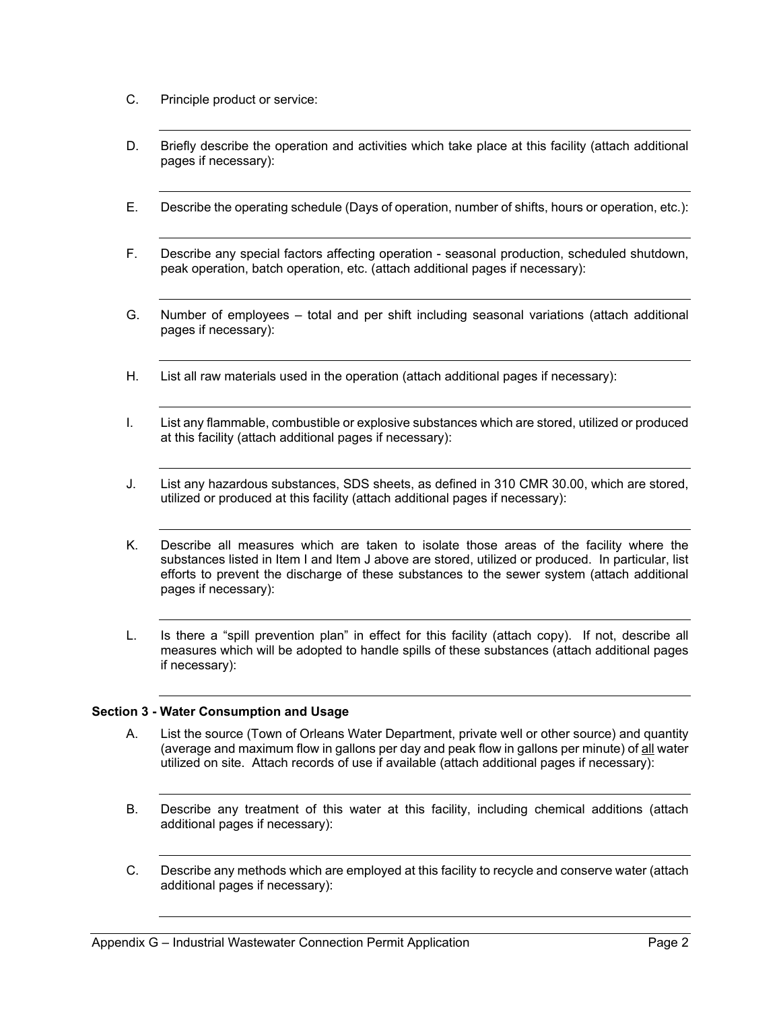- C. Principle product or service:
- D. Briefly describe the operation and activities which take place at this facility (attach additional pages if necessary):
- E. Describe the operating schedule (Days of operation, number of shifts, hours or operation, etc.):
- F. Describe any special factors affecting operation seasonal production, scheduled shutdown, peak operation, batch operation, etc. (attach additional pages if necessary):
- G. Number of employees total and per shift including seasonal variations (attach additional pages if necessary):
- H. List all raw materials used in the operation (attach additional pages if necessary):
- I. List any flammable, combustible or explosive substances which are stored, utilized or produced at this facility (attach additional pages if necessary):
- J. List any hazardous substances, SDS sheets, as defined in 310 CMR 30.00, which are stored, utilized or produced at this facility (attach additional pages if necessary):
- K. Describe all measures which are taken to isolate those areas of the facility where the substances listed in Item I and Item J above are stored, utilized or produced. In particular, list efforts to prevent the discharge of these substances to the sewer system (attach additional pages if necessary):
- L. Is there a "spill prevention plan" in effect for this facility (attach copy). If not, describe all measures which will be adopted to handle spills of these substances (attach additional pages if necessary):

# **Section 3 - Water Consumption and Usage**

- A. List the source (Town of Orleans Water Department, private well or other source) and quantity (average and maximum flow in gallons per day and peak flow in gallons per minute) of all water utilized on site. Attach records of use if available (attach additional pages if necessary):
- B. Describe any treatment of this water at this facility, including chemical additions (attach additional pages if necessary):
- C. Describe any methods which are employed at this facility to recycle and conserve water (attach additional pages if necessary):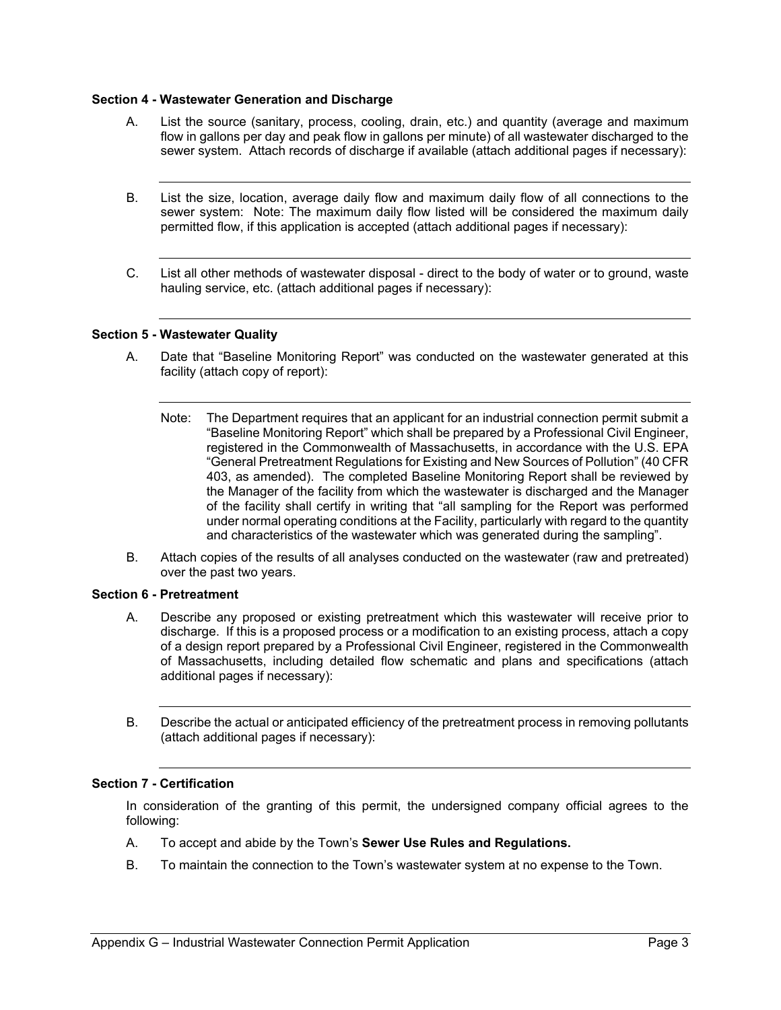# **Section 4 - Wastewater Generation and Discharge**

- A. List the source (sanitary, process, cooling, drain, etc.) and quantity (average and maximum flow in gallons per day and peak flow in gallons per minute) of all wastewater discharged to the sewer system. Attach records of discharge if available (attach additional pages if necessary):
- B. List the size, location, average daily flow and maximum daily flow of all connections to the sewer system: Note: The maximum daily flow listed will be considered the maximum daily permitted flow, if this application is accepted (attach additional pages if necessary):
- C. List all other methods of wastewater disposal direct to the body of water or to ground, waste hauling service, etc. (attach additional pages if necessary):

## **Section 5 - Wastewater Quality**

- A. Date that "Baseline Monitoring Report" was conducted on the wastewater generated at this facility (attach copy of report):
	- Note: The Department requires that an applicant for an industrial connection permit submit a "Baseline Monitoring Report" which shall be prepared by a Professional Civil Engineer, registered in the Commonwealth of Massachusetts, in accordance with the U.S. EPA "General Pretreatment Regulations for Existing and New Sources of Pollution" (40 CFR 403, as amended). The completed Baseline Monitoring Report shall be reviewed by the Manager of the facility from which the wastewater is discharged and the Manager of the facility shall certify in writing that "all sampling for the Report was performed under normal operating conditions at the Facility, particularly with regard to the quantity and characteristics of the wastewater which was generated during the sampling".
- B. Attach copies of the results of all analyses conducted on the wastewater (raw and pretreated) over the past two years.

## **Section 6 - Pretreatment**

- A. Describe any proposed or existing pretreatment which this wastewater will receive prior to discharge. If this is a proposed process or a modification to an existing process, attach a copy of a design report prepared by a Professional Civil Engineer, registered in the Commonwealth of Massachusetts, including detailed flow schematic and plans and specifications (attach additional pages if necessary):
- B. Describe the actual or anticipated efficiency of the pretreatment process in removing pollutants (attach additional pages if necessary):

# **Section 7 - Certification**

In consideration of the granting of this permit, the undersigned company official agrees to the following:

- A. To accept and abide by the Town's **Sewer Use Rules and Regulations.**
- B. To maintain the connection to the Town's wastewater system at no expense to the Town.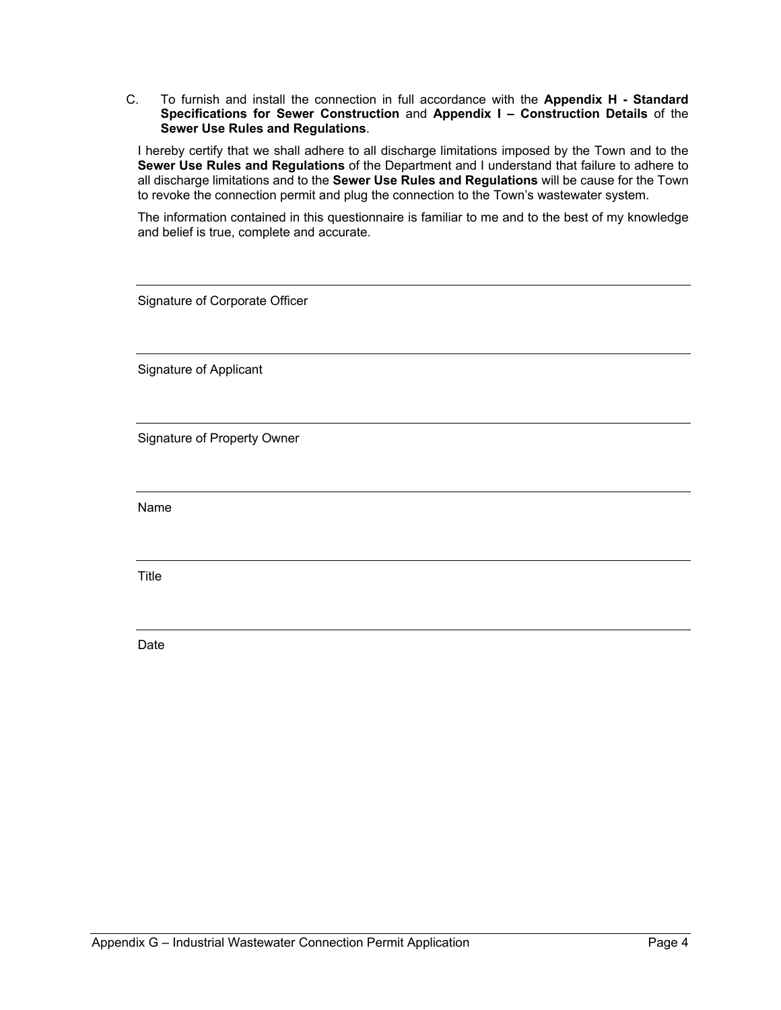C. To furnish and install the connection in full accordance with the **Appendix H - Standard Specifications for Sewer Construction** and **Appendix I – Construction Details** of the **Sewer Use Rules and Regulations**.

I hereby certify that we shall adhere to all discharge limitations imposed by the Town and to the **Sewer Use Rules and Regulations** of the Department and I understand that failure to adhere to all discharge limitations and to the **Sewer Use Rules and Regulations** will be cause for the Town to revoke the connection permit and plug the connection to the Town's wastewater system.

The information contained in this questionnaire is familiar to me and to the best of my knowledge and belief is true, complete and accurate.

Signature of Corporate Officer

Signature of Applicant

Signature of Property Owner

Name

Title

Date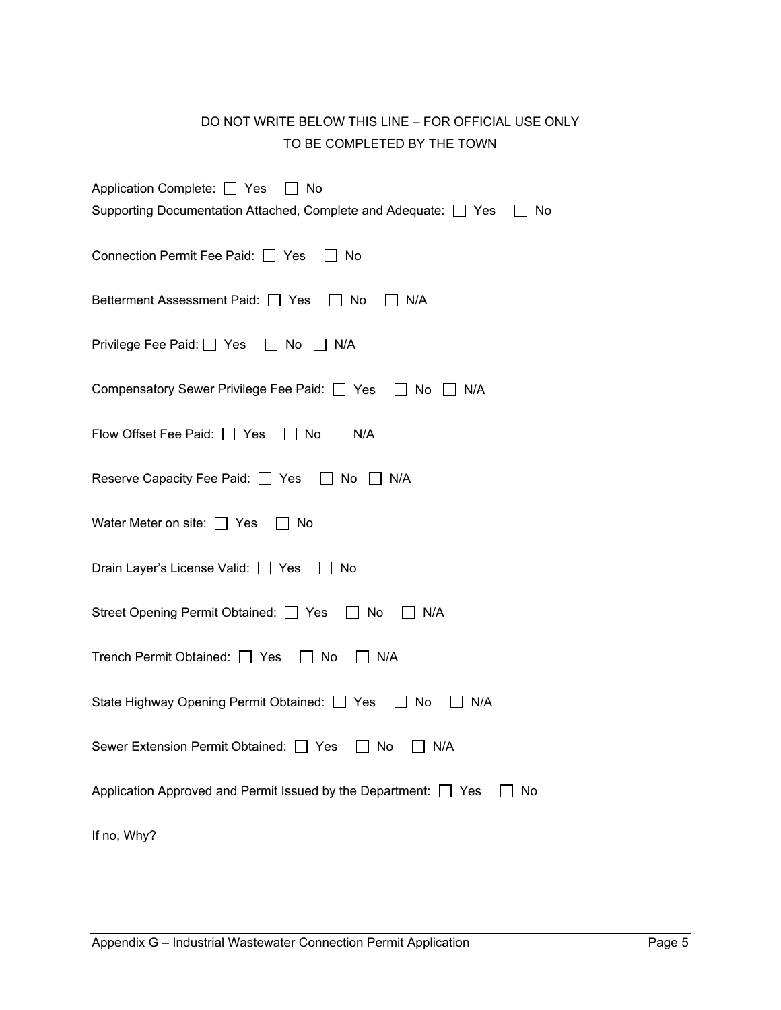# DO NOT WRITE BELOW THIS LINE – FOR OFFICIAL USE ONLY TO BE COMPLETED BY THE TOWN

| Application Complete: □ Yes □ No<br>Supporting Documentation Attached, Complete and Adequate: □ Yes<br>No |
|-----------------------------------------------------------------------------------------------------------|
| Connection Permit Fee Paid: □ Yes<br>__ No                                                                |
| Betterment Assessment Paid: □ Yes □ No<br>N/A                                                             |
| Privilege Fee Paid:   Yes   No   N/A                                                                      |
| Compensatory Sewer Privilege Fee Paid: Ves I No N/A                                                       |
| Flow Offset Fee Paid: □ Yes □ No □ N/A                                                                    |
| Reserve Capacity Fee Paid: □ Yes □ No □ N/A                                                               |
| Water Meter on site: $\Box$ Yes $\Box$ No                                                                 |
| Drain Layer's License Valid: □ Yes □ No                                                                   |
| Street Opening Permit Obtained: □ Yes □ No<br>$\vert$   N/A                                               |
| Trench Permit Obtained: □ Yes □ No □ N/A                                                                  |
| State Highway Opening Permit Obtained: □ Yes □ No<br>N/A                                                  |
| Sewer Extension Permit Obtained: □ Yes □ No □ N/A                                                         |
| Application Approved and Permit Issued by the Department: □ Yes<br>No                                     |
| If no, Why?                                                                                               |